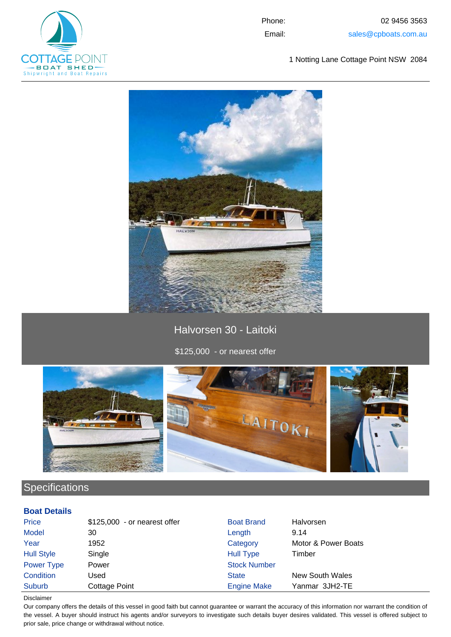

Phone: 02 9456 3563 Email: sales@cpboats.com.au

1 Notting Lane Cottage Point NSW 2084



Halvorsen 30 - Laitoki

\$125,000 - or nearest offer



# **Specifications**

### **Boat Details**

| <b>Price</b>      | $$125,000$ - or nearest offer | <b>Boat Brand</b>   | Halvorsen           |
|-------------------|-------------------------------|---------------------|---------------------|
| <b>Model</b>      | 30                            | Length              | 9.14                |
| Year              | 1952                          | Category            | Motor & Power Boats |
| <b>Hull Style</b> | Single                        | <b>Hull Type</b>    | Timber              |
| Power Type        | Power                         | <b>Stock Number</b> |                     |
| Condition         | Used                          | <b>State</b>        | New South Wales     |
| Suburb            | Cottage Point                 | <b>Engine Make</b>  | Yanmar 3JH2-TE      |

Disclaimer

Our company offers the details of this vessel in good faith but cannot guarantee or warrant the accuracy of this information nor warrant the condition of the vessel. A buyer should instruct his agents and/or surveyors to investigate such details buyer desires validated. This vessel is offered subject to prior sale, price change or withdrawal without notice.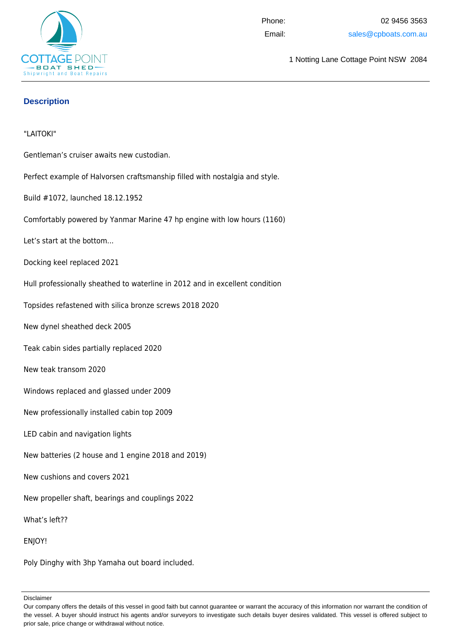

1 Notting Lane Cottage Point NSW 2084

## **Description**

#### "LAITOKI"

Gentleman's cruiser awaits new custodian.

Perfect example of Halvorsen craftsmanship filled with nostalgia and style.

Build #1072, launched 18.12.1952

Comfortably powered by Yanmar Marine 47 hp engine with low hours (1160)

Let's start at the bottom...

Docking keel replaced 2021

Hull professionally sheathed to waterline in 2012 and in excellent condition

Topsides refastened with silica bronze screws 2018 2020

New dynel sheathed deck 2005

Teak cabin sides partially replaced 2020

New teak transom 2020

Windows replaced and glassed under 2009

New professionally installed cabin top 2009

LED cabin and navigation lights

New batteries (2 house and 1 engine 2018 and 2019)

New cushions and covers 2021

New propeller shaft, bearings and couplings 2022

What's left??

ENJOY!

Poly Dinghy with 3hp Yamaha out board included.

Disclaimer

Our company offers the details of this vessel in good faith but cannot guarantee or warrant the accuracy of this information nor warrant the condition of the vessel. A buyer should instruct his agents and/or surveyors to investigate such details buyer desires validated. This vessel is offered subject to prior sale, price change or withdrawal without notice.